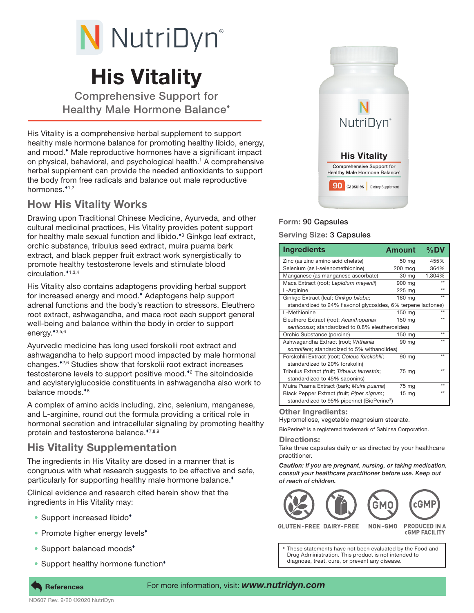

# His Vitality

Comprehensive Support for Healthy Male Hormone Balance

His Vitality is a comprehensive herbal supplement to support healthy male hormone balance for promoting healthy libido, energy, and mood. Male reproductive hormones have a significant impact on physical, behavioral, and psychological health.<sup>1</sup> A comprehensive herbal supplement can provide the needed antioxidants to support the body from free radicals and balance out male reproductive hormones.<sup>\*1,2</sup>

## How His Vitality Works

Drawing upon Traditional Chinese Medicine, Ayurveda, and other cultural medicinal practices, His Vitality provides potent support for healthy male sexual function and libido.<sup>\*</sup><sup>3</sup> Ginkgo leaf extract, orchic substance, tribulus seed extract, muira puama bark extract, and black pepper fruit extract work synergistically to promote healthy testosterone levels and stimulate blood circulation.<sup>\*1,3,4</sup>

His Vitality also contains adaptogens providing herbal support for increased energy and mood. Adaptogens help support adrenal functions and the body's reaction to stressors. Eleuthero root extract, ashwagandha, and maca root each support general well-being and balance within the body in order to support energy. $*3,5,6$ 

Ayurvedic medicine has long used forskolii root extract and ashwagandha to help support mood impacted by male hormonal changes.<sup>\*2,6</sup> Studies show that forskolii root extract increases testosterone levels to support positive mood.<sup>\*2</sup> The sitoindoside and acylsterylglucoside constituents in ashwagandha also work to balance moods. $*$ <sup>6</sup>

A complex of amino acids including, zinc, selenium, manganese, and L-arginine, round out the formula providing a critical role in hormonal secretion and intracellular signaling by promoting healthy protein and testosterone balance.\*7,8,9

## His Vitality Supplementation

The ingredients in His Vitality are dosed in a manner that is congruous with what research suggests to be effective and safe, particularly for supporting healthy male hormone balance.<sup>\*</sup>

Clinical evidence and research cited herein show that the ingredients in His Vitality may:

- Support increased libido<sup>\*</sup>
- Promote higher energy levels<sup>\*</sup>
- Support balanced moods<sup>+</sup>
- Support healthy hormone function<sup>\*</sup>



### Form: 90 Capsules

#### Serving Size: 3 Capsules

| <b>Ingredients</b>                                            | <b>Amount</b>    | $%$ DV |
|---------------------------------------------------------------|------------------|--------|
| Zinc (as zinc amino acid chelate)                             | 50 mg            | 455%   |
| Selenium (as I-selenomethionine)                              | 200 mcg          | 364%   |
| Manganese (as manganese ascorbate)                            | 30 mg            | 1,304% |
| Maca Extract (root; Lepidium meyenii)                         | 900 mg           |        |
| L-Arginine                                                    | 225 mg           | **     |
| Ginkgo Extract (leaf; Ginkgo biloba;                          | 180 mg           | **     |
| standardized to 24% flavonol glycosides, 6% terpene lactones) |                  |        |
| L-Methionine                                                  | 150 mg           | **     |
| Eleuthero Extract (root; Acanthopanax                         | 150 mg           | **     |
| senticosus; standardized to 0.8% eleutherosides)              |                  |        |
| Orchic Substance (porcine)                                    | 150 mg           | **     |
| Ashwagandha Extract (root; Withania                           | 90 mg            | **     |
| somnifera; standardized to 5% withanolides)                   |                  |        |
| Forskohlii Extract (root; Coleus forskohlii;                  | 90 mg            | **     |
| standardized to 20% forskolin)                                |                  |        |
| Tribulus Extract (fruit; Tribulus terrestris;                 | 75 mg            | **     |
| standardized to 45% saponins)                                 |                  |        |
| Muira Puama Extract (bark; Muira puama)                       | 75 mg            | **     |
| Black Pepper Extract (fruit; Piper nigrum;                    | 15 <sub>mg</sub> | **     |
| standardized to 95% piperine) (BioPerine®)                    |                  |        |

Other Ingredients:

Hypromellose, vegetable magnesium stearate.

BioPerine® is a registered trademark of Sabinsa Corporation.

#### Directions:

Take three capsules daily or as directed by your healthcare practitioner.

*Caution: If you are pregnant, nursing, or taking medication, consult your healthcare practitioner before use. Keep out of reach of children.*



**GLUTEN-FREE DAIRY-FREE** 

**PRODUCED IN A CGMP FACILITY** 

These statements have not been evaluated by the Food and Drug Administration. This product is not intended to diagnose, treat, cure, or prevent any disease.

ND607 Rev. 9/20 ©2020 NutriDyn

#### References For more information, visit: *www.nutridyn.com*